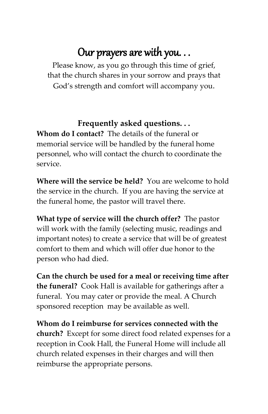# Our prayers are with you. . .

Please know, as you go through this time of grief, that the church shares in your sorrow and prays that God's strength and comfort will accompany you.

#### **Frequently asked questions. . .**

**Whom do I contact?** The details of the funeral or memorial service will be handled by the funeral home personnel, who will contact the church to coordinate the service.

**Where will the service be held?** You are welcome to hold the service in the church. If you are having the service at the funeral home, the pastor will travel there.

**What type of service will the church offer?** The pastor will work with the family (selecting music, readings and important notes) to create a service that will be of greatest comfort to them and which will offer due honor to the person who had died.

**Can the church be used for a meal or receiving time after the funeral?** Cook Hall is available for gatherings after a funeral. You may cater or provide the meal. A Church sponsored reception may be available as well.

**Whom do I reimburse for services connected with the church?** Except for some direct food related expenses for a reception in Cook Hall, the Funeral Home will include all church related expenses in their charges and will then reimburse the appropriate persons.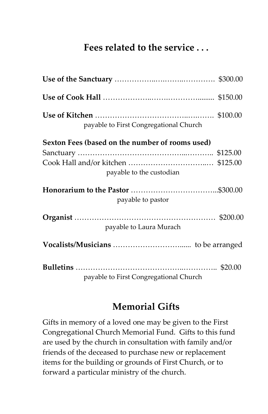# **Fees related to the service . . .**

| payable to First Congregational Church          |  |
|-------------------------------------------------|--|
| Sexton Fees (based on the number of rooms used) |  |
|                                                 |  |
|                                                 |  |
| payable to the custodian                        |  |
|                                                 |  |
| payable to pastor                               |  |
|                                                 |  |
| payable to Laura Murach                         |  |
|                                                 |  |
|                                                 |  |
| payable to First Congregational Church          |  |

## **Memorial Gifts**

Gifts in memory of a loved one may be given to the First Congregational Church Memorial Fund. Gifts to this fund are used by the church in consultation with family and/or friends of the deceased to purchase new or replacement items for the building or grounds of First Church, or to forward a particular ministry of the church.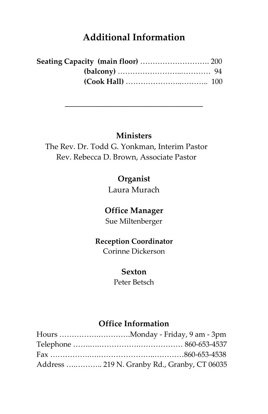# **Additional Information**

| Seating Capacity (main floor)  200 |  |
|------------------------------------|--|
|                                    |  |
|                                    |  |

#### **Ministers**

\_\_\_\_\_\_\_\_\_\_\_\_\_\_\_\_\_\_\_\_\_\_\_\_\_\_\_\_\_\_\_\_\_\_

The Rev. Dr. Todd G. Yonkman, Interim Pastor Rev. Rebecca D. Brown, Associate Pastor

### **Organist**

Laura Murach

#### **Office Manager**

Sue Miltenberger

#### **Reception Coordinator**

Corinne Dickerson

#### **Sexton**

Peter Betsch

# **Office Information**

| Address  219 N. Granby Rd., Granby, CT 06035 |
|----------------------------------------------|